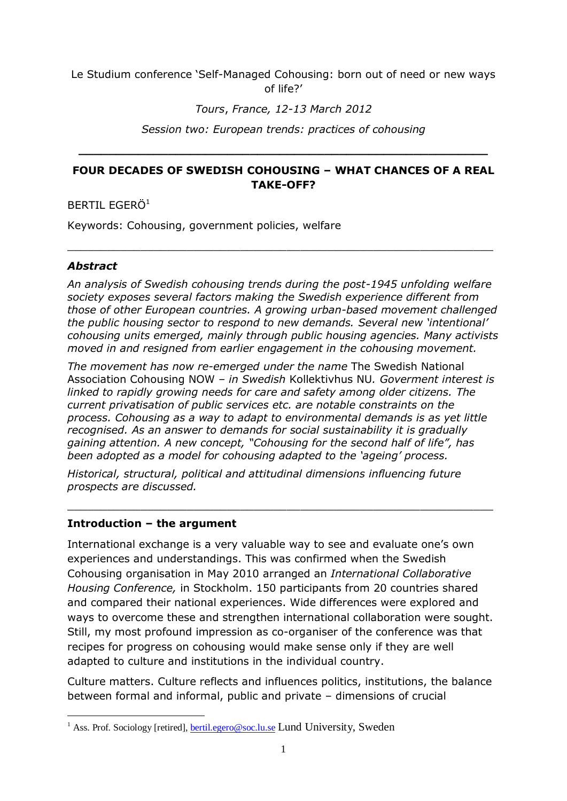#### Le Studium conference 'Self-Managed Cohousing: born out of need or new ways of life?'

### *Tours*, *France, 12-13 March 2012*

*Session two: European trends: practices of cohousing*

**\_\_\_\_\_\_\_\_\_\_\_\_\_\_\_\_\_\_\_\_\_\_\_\_\_\_\_\_\_\_\_\_\_\_\_\_\_\_\_\_\_\_\_\_\_\_\_\_\_\_\_\_\_\_\_**

### **FOUR DECADES OF SWEDISH COHOUSING – WHAT CHANCES OF A REAL TAKE-OFF?**

 $\_$  , and the contribution of the contribution of  $\mathcal{L}_\mathcal{A}$  , and the contribution of  $\mathcal{L}_\mathcal{A}$ 

#### BERTIL FGERÖ<sup>1</sup>

Keywords: Cohousing, government policies, welfare

### *Abstract*

-

*An analysis of Swedish cohousing trends during the post-1945 unfolding welfare society exposes several factors making the Swedish experience different from those of other European countries. A growing urban-based movement challenged the public housing sector to respond to new demands. Several new 'intentional' cohousing units emerged, mainly through public housing agencies. Many activists moved in and resigned from earlier engagement in the cohousing movement.*

*The movement has now re-emerged under the name* The Swedish National Association Cohousing NOW *– in Swedish* Kollektivhus NU*. Goverment interest is linked to rapidly growing needs for care and safety among older citizens. The current privatisation of public services etc. are notable constraints on the process. Cohousing as a way to adapt to environmental demands is as yet little recognised. As an answer to demands for social sustainability it is gradually gaining attention. A new concept, "Cohousing for the second half of life", has been adopted as a model for cohousing adapted to the 'ageing' process.*

*Historical, structural, political and attitudinal dimensions influencing future prospects are discussed.*

\_\_\_\_\_\_\_\_\_\_\_\_\_\_\_\_\_\_\_\_\_\_\_\_\_\_\_\_\_\_\_\_\_\_\_\_\_\_\_\_\_\_\_\_\_\_\_\_\_\_\_\_\_\_\_\_\_\_\_\_\_\_\_\_

#### **Introduction – the argument**

International exchange is a very valuable way to see and evaluate one's own experiences and understandings. This was confirmed when the Swedish Cohousing organisation in May 2010 arranged an *International Collaborative Housing Conference,* in Stockholm. 150 participants from 20 countries shared and compared their national experiences. Wide differences were explored and ways to overcome these and strengthen international collaboration were sought. Still, my most profound impression as co-organiser of the conference was that recipes for progress on cohousing would make sense only if they are well adapted to culture and institutions in the individual country.

Culture matters. Culture reflects and influences politics, institutions, the balance between formal and informal, public and private – dimensions of crucial

<sup>&</sup>lt;sup>1</sup> Ass. Prof. Sociology [retired], **bertil.egero@soc.lu.se Lund University**, Sweden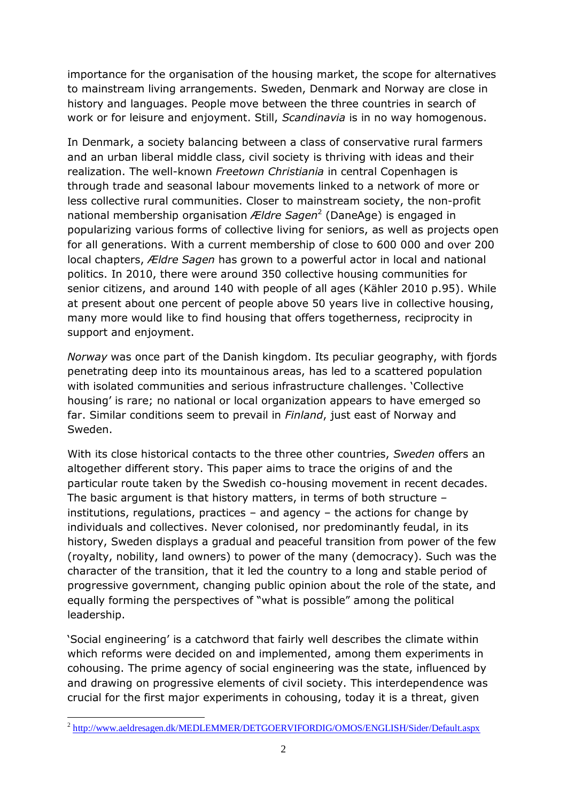importance for the organisation of the housing market, the scope for alternatives to mainstream living arrangements. Sweden, Denmark and Norway are close in history and languages. People move between the three countries in search of work or for leisure and enjoyment. Still, *Scandinavia* is in no way homogenous.

In Denmark, a society balancing between a class of conservative rural farmers and an urban liberal middle class, civil society is thriving with ideas and their realization. The well-known *Freetown Christiania* in central Copenhagen is through trade and seasonal labour movements linked to a network of more or less collective rural communities. Closer to mainstream society, the non-profit national membership organisation *Ældre Sagen*<sup>2</sup> (DaneAge) is engaged in popularizing various forms of collective living for seniors, as well as projects open for all generations. With a current membership of close to 600 000 and over 200 local chapters, *Ældre Sagen* has grown to a powerful actor in local and national politics. In 2010, there were around 350 collective housing communities for senior citizens, and around 140 with people of all ages (Kähler 2010 p.95). While at present about one percent of people above 50 years live in collective housing, many more would like to find housing that offers togetherness, reciprocity in support and enjoyment.

*Norway* was once part of the Danish kingdom. Its peculiar geography, with fjords penetrating deep into its mountainous areas, has led to a scattered population with isolated communities and serious infrastructure challenges. 'Collective housing' is rare; no national or local organization appears to have emerged so far. Similar conditions seem to prevail in *Finland*, just east of Norway and Sweden.

With its close historical contacts to the three other countries, *Sweden* offers an altogether different story. This paper aims to trace the origins of and the particular route taken by the Swedish co-housing movement in recent decades. The basic argument is that history matters, in terms of both structure – institutions, regulations, practices – and agency – the actions for change by individuals and collectives. Never colonised, nor predominantly feudal, in its history, Sweden displays a gradual and peaceful transition from power of the few (royalty, nobility, land owners) to power of the many (democracy). Such was the character of the transition, that it led the country to a long and stable period of progressive government, changing public opinion about the role of the state, and equally forming the perspectives of "what is possible" among the political leadership.

'Social engineering' is a catchword that fairly well describes the climate within which reforms were decided on and implemented, among them experiments in cohousing. The prime agency of social engineering was the state, influenced by and drawing on progressive elements of civil society. This interdependence was crucial for the first major experiments in cohousing, today it is a threat, given

<sup>–&</sup>lt;br><sup>2</sup> <http://www.aeldresagen.dk/MEDLEMMER/DETGOERVIFORDIG/OMOS/ENGLISH/Sider/Default.aspx>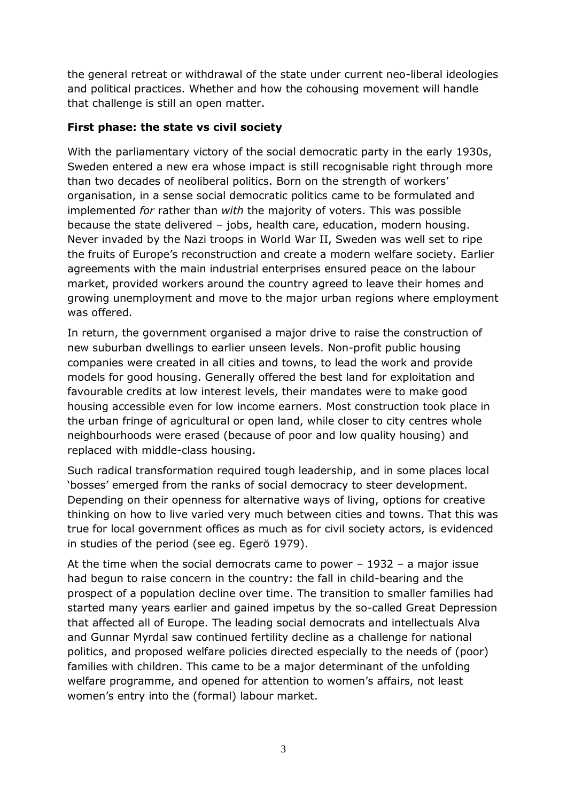the general retreat or withdrawal of the state under current neo-liberal ideologies and political practices. Whether and how the cohousing movement will handle that challenge is still an open matter.

## **First phase: the state vs civil society**

With the parliamentary victory of the social democratic party in the early 1930s, Sweden entered a new era whose impact is still recognisable right through more than two decades of neoliberal politics. Born on the strength of workers' organisation, in a sense social democratic politics came to be formulated and implemented *for* rather than *with* the majority of voters. This was possible because the state delivered – jobs, health care, education, modern housing. Never invaded by the Nazi troops in World War II, Sweden was well set to ripe the fruits of Europe's reconstruction and create a modern welfare society. Earlier agreements with the main industrial enterprises ensured peace on the labour market, provided workers around the country agreed to leave their homes and growing unemployment and move to the major urban regions where employment was offered.

In return, the government organised a major drive to raise the construction of new suburban dwellings to earlier unseen levels. Non-profit public housing companies were created in all cities and towns, to lead the work and provide models for good housing. Generally offered the best land for exploitation and favourable credits at low interest levels, their mandates were to make good housing accessible even for low income earners. Most construction took place in the urban fringe of agricultural or open land, while closer to city centres whole neighbourhoods were erased (because of poor and low quality housing) and replaced with middle-class housing.

Such radical transformation required tough leadership, and in some places local 'bosses' emerged from the ranks of social democracy to steer development. Depending on their openness for alternative ways of living, options for creative thinking on how to live varied very much between cities and towns. That this was true for local government offices as much as for civil society actors, is evidenced in studies of the period (see eg. Egerö 1979).

At the time when the social democrats came to power – 1932 – a major issue had begun to raise concern in the country: the fall in child-bearing and the prospect of a population decline over time. The transition to smaller families had started many years earlier and gained impetus by the so-called Great Depression that affected all of Europe. The leading social democrats and intellectuals Alva and Gunnar Myrdal saw continued fertility decline as a challenge for national politics, and proposed welfare policies directed especially to the needs of (poor) families with children. This came to be a major determinant of the unfolding welfare programme, and opened for attention to women's affairs, not least women's entry into the (formal) labour market.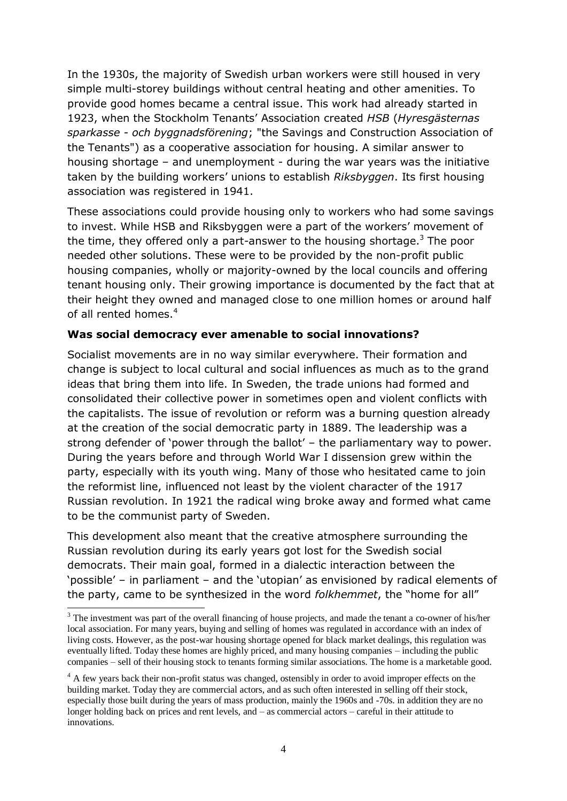In the 1930s, the majority of Swedish urban workers were still housed in very simple multi-storey buildings without central heating and other amenities. To provide good homes became a central issue. This work had already started in 1923, when the Stockholm Tenants' Association created *HSB* (*Hyresgästernas sparkasse - och byggnadsförening*; "the Savings and Construction Association of the Tenants") as a [cooperative](http://en.wikipedia.org/wiki/Cooperative) [association](http://en.wikipedia.org/wiki/Voluntary_association) for housing. A similar answer to housing shortage – and unemployment - during the war years was the initiative taken by the building workers' unions to establish *Riksbyggen*. Its first housing association was registered in 1941.

These associations could provide housing only to workers who had some savings to invest. While HSB and Riksbyggen were a part of the workers' movement of the time, they offered only a part-answer to the housing shortage.<sup>3</sup> The poor needed other solutions. These were to be provided by the non-profit public housing companies, wholly or majority-owned by the local councils and offering tenant housing only. Their growing importance is documented by the fact that at their height they owned and managed close to one million homes or around half of all rented homes.<sup>4</sup>

### **Was social democracy ever amenable to social innovations?**

Socialist movements are in no way similar everywhere. Their formation and change is subject to local cultural and social influences as much as to the grand ideas that bring them into life. In Sweden, the trade unions had formed and consolidated their collective power in sometimes open and violent conflicts with the capitalists. The issue of revolution or reform was a burning question already at the creation of the social democratic party in 1889. The leadership was a strong defender of 'power through the ballot' – the parliamentary way to power. During the years before and through World War I dissension grew within the party, especially with its youth wing. Many of those who hesitated came to join the reformist line, influenced not least by the violent character of the 1917 Russian revolution. In 1921 the radical wing broke away and formed what came to be the communist party of Sweden.

This development also meant that the creative atmosphere surrounding the Russian revolution during its early years got lost for the Swedish social democrats. Their main goal, formed in a dialectic interaction between the 'possible' – in parliament – and the 'utopian' as envisioned by radical elements of the party, came to be synthesized in the word *folkhemmet*, the "home for all"

-

<sup>&</sup>lt;sup>3</sup> The investment was part of the overall financing of house projects, and made the tenant a co-owner of his/her local association. For many years, buying and selling of homes was regulated in accordance with an index of living costs. However, as the post-war housing shortage opened for black market dealings, this regulation was eventually lifted. Today these homes are highly priced, and many housing companies – including the public companies – sell of their housing stock to tenants forming similar associations. The home is a marketable good.

<sup>&</sup>lt;sup>4</sup> A few years back their non-profit status was changed, ostensibly in order to avoid improper effects on the building market. Today they are commercial actors, and as such often interested in selling off their stock, especially those built during the years of mass production, mainly the 1960s and -70s. in addition they are no longer holding back on prices and rent levels, and – as commercial actors – careful in their attitude to innovations.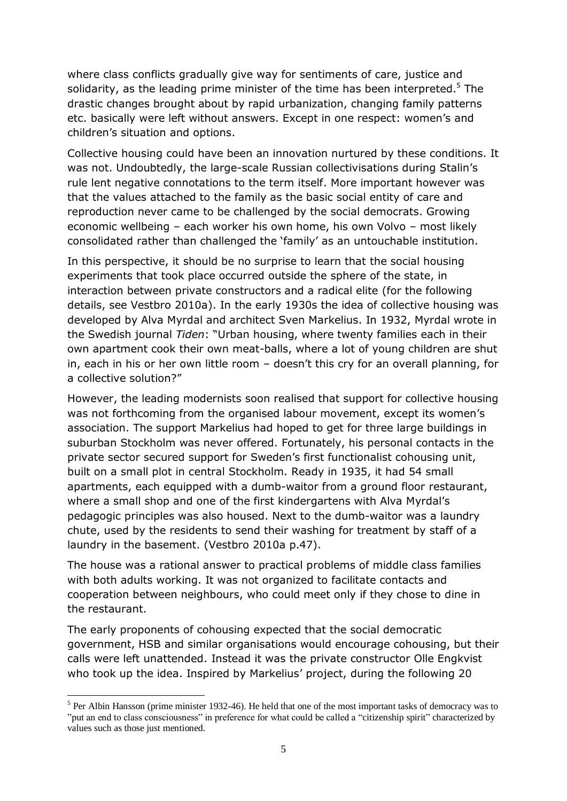where class conflicts gradually give way for sentiments of care, justice and solidarity, as the leading prime minister of the time has been interpreted.<sup>5</sup> The drastic changes brought about by rapid urbanization, changing family patterns etc. basically were left without answers. Except in one respect: women's and children's situation and options.

Collective housing could have been an innovation nurtured by these conditions. It was not. Undoubtedly, the large-scale Russian collectivisations during Stalin's rule lent negative connotations to the term itself. More important however was that the values attached to the family as the basic social entity of care and reproduction never came to be challenged by the social democrats. Growing economic wellbeing – each worker his own home, his own Volvo – most likely consolidated rather than challenged the 'family' as an untouchable institution.

In this perspective, it should be no surprise to learn that the social housing experiments that took place occurred outside the sphere of the state, in interaction between private constructors and a radical elite (for the following details, see Vestbro 2010a). In the early 1930s the idea of collective housing was developed by Alva Myrdal and architect Sven Markelius. In 1932, Myrdal wrote in the Swedish journal *Tiden*: "Urban housing, where twenty families each in their own apartment cook their own meat-balls, where a lot of young children are shut in, each in his or her own little room – doesn't this cry for an overall planning, for a collective solution?"

However, the leading modernists soon realised that support for collective housing was not forthcoming from the organised labour movement, except its women's association. The support Markelius had hoped to get for three large buildings in suburban Stockholm was never offered. Fortunately, his personal contacts in the private sector secured support for Sweden's first functionalist cohousing unit, built on a small plot in central Stockholm. Ready in 1935, it had 54 small apartments, each equipped with a dumb-waitor from a ground floor restaurant, where a small shop and one of the first kindergartens with Alva Myrdal's pedagogic principles was also housed. Next to the dumb-waitor was a laundry chute, used by the residents to send their washing for treatment by staff of a laundry in the basement. (Vestbro 2010a p.47).

The house was a rational answer to practical problems of middle class families with both adults working. It was not organized to facilitate contacts and cooperation between neighbours, who could meet only if they chose to dine in the restaurant.

The early proponents of cohousing expected that the social democratic government, HSB and similar organisations would encourage cohousing, but their calls were left unattended. Instead it was the private constructor Olle Engkvist who took up the idea. Inspired by Markelius' project, during the following 20

1

<sup>&</sup>lt;sup>5</sup> Per Albin Hansson (prime minister 1932-46). He held that one of the most important tasks of democracy was to "put an end to class consciousness" in preference for what could be called a "citizenship spirit" characterized by values such as those just mentioned.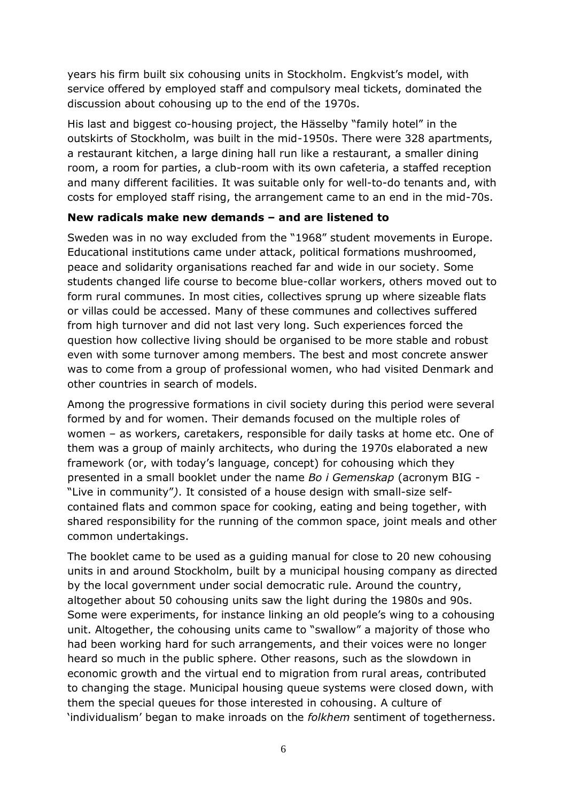years his firm built six cohousing units in Stockholm. Engkvist's model, with service offered by employed staff and compulsory meal tickets, dominated the discussion about cohousing up to the end of the 1970s.

His last and biggest co-housing project, the Hässelby "family hotel" in the outskirts of Stockholm, was built in the mid-1950s. There were 328 apartments, a restaurant kitchen, a large dining hall run like a restaurant, a smaller dining room, a room for parties, a club-room with its own cafeteria, a staffed reception and many different facilities. It was suitable only for well-to-do tenants and, with costs for employed staff rising, the arrangement came to an end in the mid-70s.

### **New radicals make new demands – and are listened to**

Sweden was in no way excluded from the "1968" student movements in Europe. Educational institutions came under attack, political formations mushroomed, peace and solidarity organisations reached far and wide in our society. Some students changed life course to become blue-collar workers, others moved out to form rural communes. In most cities, collectives sprung up where sizeable flats or villas could be accessed. Many of these communes and collectives suffered from high turnover and did not last very long. Such experiences forced the question how collective living should be organised to be more stable and robust even with some turnover among members. The best and most concrete answer was to come from a group of professional women, who had visited Denmark and other countries in search of models.

Among the progressive formations in civil society during this period were several formed by and for women. Their demands focused on the multiple roles of women – as workers, caretakers, responsible for daily tasks at home etc. One of them was a group of mainly architects, who during the 1970s elaborated a new framework (or, with today's language, concept) for cohousing which they presented in a small booklet under the name *Bo i Gemenskap* (acronym BIG - "Live in community"*)*. It consisted of a house design with small-size selfcontained flats and common space for cooking, eating and being together, with shared responsibility for the running of the common space, joint meals and other common undertakings.

The booklet came to be used as a guiding manual for close to 20 new cohousing units in and around Stockholm, built by a municipal housing company as directed by the local government under social democratic rule. Around the country, altogether about 50 cohousing units saw the light during the 1980s and 90s. Some were experiments, for instance linking an old people's wing to a cohousing unit. Altogether, the cohousing units came to "swallow" a majority of those who had been working hard for such arrangements, and their voices were no longer heard so much in the public sphere. Other reasons, such as the slowdown in economic growth and the virtual end to migration from rural areas, contributed to changing the stage. Municipal housing queue systems were closed down, with them the special queues for those interested in cohousing. A culture of 'individualism' began to make inroads on the *folkhem* sentiment of togetherness.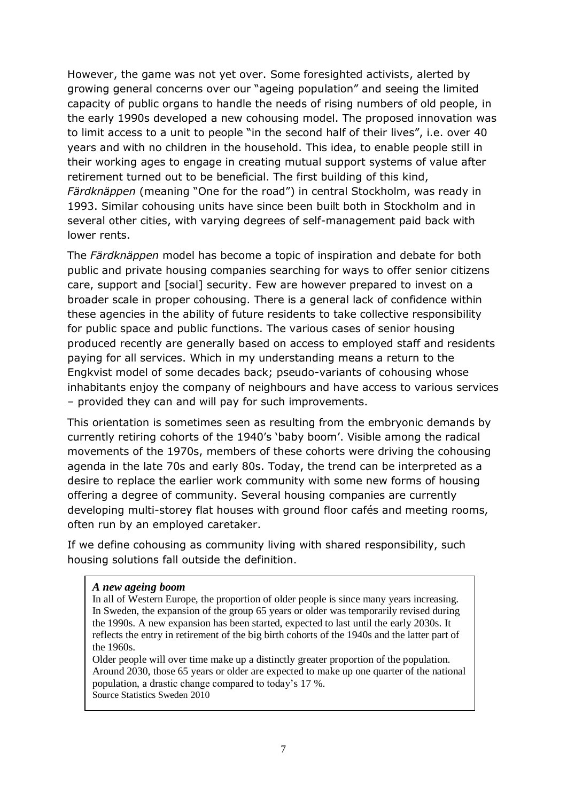However, the game was not yet over. Some foresighted activists, alerted by growing general concerns over our "ageing population" and seeing the limited capacity of public organs to handle the needs of rising numbers of old people, in the early 1990s developed a new cohousing model. The proposed innovation was to limit access to a unit to people "in the second half of their lives", i.e. over 40 years and with no children in the household. This idea, to enable people still in their working ages to engage in creating mutual support systems of value after retirement turned out to be beneficial. The first building of this kind, *Färdknäppen* (meaning "One for the road") in central Stockholm, was ready in 1993. Similar cohousing units have since been built both in Stockholm and in several other cities, with varying degrees of self-management paid back with lower rents.

The *Färdknäppen* model has become a topic of inspiration and debate for both public and private housing companies searching for ways to offer senior citizens care, support and [social] security. Few are however prepared to invest on a broader scale in proper cohousing. There is a general lack of confidence within these agencies in the ability of future residents to take collective responsibility for public space and public functions. The various cases of senior housing produced recently are generally based on access to employed staff and residents paying for all services. Which in my understanding means a return to the Engkvist model of some decades back; pseudo-variants of cohousing whose inhabitants enjoy the company of neighbours and have access to various services – provided they can and will pay for such improvements.

This orientation is sometimes seen as resulting from the embryonic demands by currently retiring cohorts of the 1940's 'baby boom'. Visible among the radical movements of the 1970s, members of these cohorts were driving the cohousing agenda in the late 70s and early 80s. Today, the trend can be interpreted as a desire to replace the earlier work community with some new forms of housing offering a degree of community. Several housing companies are currently developing multi-storey flat houses with ground floor cafés and meeting rooms, often run by an employed caretaker.

If we define cohousing as community living with shared responsibility, such housing solutions fall outside the definition.

#### *A new ageing boom*

In all of Western Europe, the proportion of older people is since many years increasing. In Sweden, the expansion of the group 65 years or older was temporarily revised during the 1990s. A new expansion has been started, expected to last until the early 2030s. It reflects the entry in retirement of the big birth cohorts of the 1940s and the latter part of the 1960s.

Older people will over time make up a distinctly greater proportion of the population. Around 2030, those 65 years or older are expected to make up one quarter of the national population, a drastic change compared to today's 17 %. Source Statistics Sweden 2010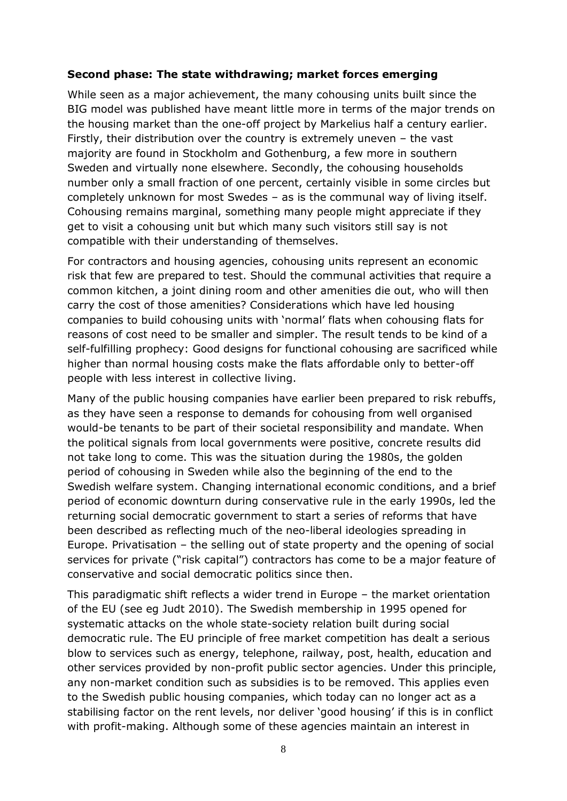#### **Second phase: The state withdrawing; market forces emerging**

While seen as a major achievement, the many cohousing units built since the BIG model was published have meant little more in terms of the major trends on the housing market than the one-off project by Markelius half a century earlier. Firstly, their distribution over the country is extremely uneven – the vast majority are found in Stockholm and Gothenburg, a few more in southern Sweden and virtually none elsewhere. Secondly, the cohousing households number only a small fraction of one percent, certainly visible in some circles but completely unknown for most Swedes – as is the communal way of living itself. Cohousing remains marginal, something many people might appreciate if they get to visit a cohousing unit but which many such visitors still say is not compatible with their understanding of themselves.

For contractors and housing agencies, cohousing units represent an economic risk that few are prepared to test. Should the communal activities that require a common kitchen, a joint dining room and other amenities die out, who will then carry the cost of those amenities? Considerations which have led housing companies to build cohousing units with 'normal' flats when cohousing flats for reasons of cost need to be smaller and simpler. The result tends to be kind of a self-fulfilling prophecy: Good designs for functional cohousing are sacrificed while higher than normal housing costs make the flats affordable only to better-off people with less interest in collective living.

Many of the public housing companies have earlier been prepared to risk rebuffs, as they have seen a response to demands for cohousing from well organised would-be tenants to be part of their societal responsibility and mandate. When the political signals from local governments were positive, concrete results did not take long to come. This was the situation during the 1980s, the golden period of cohousing in Sweden while also the beginning of the end to the Swedish welfare system. Changing international economic conditions, and a brief period of economic downturn during conservative rule in the early 1990s, led the returning social democratic government to start a series of reforms that have been described as reflecting much of the neo-liberal ideologies spreading in Europe. Privatisation – the selling out of state property and the opening of social services for private ("risk capital") contractors has come to be a major feature of conservative and social democratic politics since then.

This paradigmatic shift reflects a wider trend in Europe – the market orientation of the EU (see eg Judt 2010). The Swedish membership in 1995 opened for systematic attacks on the whole state-society relation built during social democratic rule. The EU principle of free market competition has dealt a serious blow to services such as energy, telephone, railway, post, health, education and other services provided by non-profit public sector agencies. Under this principle, any non-market condition such as subsidies is to be removed. This applies even to the Swedish public housing companies, which today can no longer act as a stabilising factor on the rent levels, nor deliver 'good housing' if this is in conflict with profit-making. Although some of these agencies maintain an interest in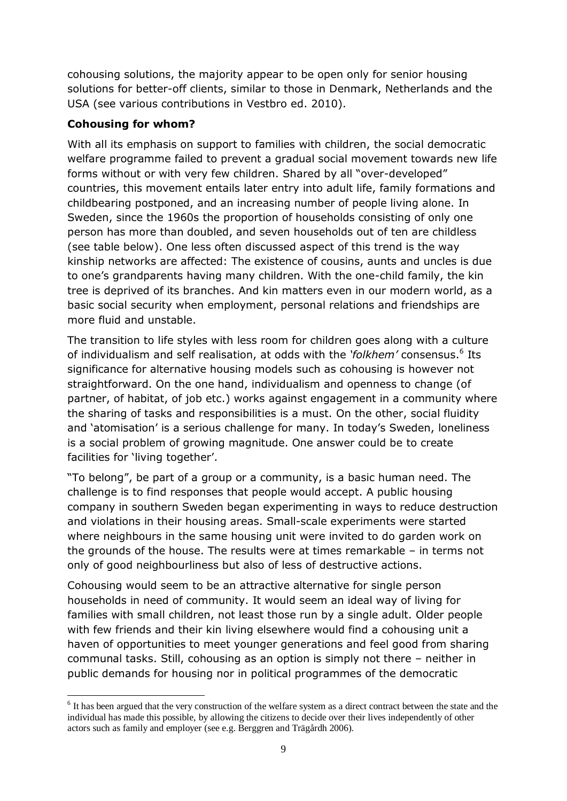cohousing solutions, the majority appear to be open only for senior housing solutions for better-off clients, similar to those in Denmark, Netherlands and the USA (see various contributions in Vestbro ed. 2010).

# **Cohousing for whom?**

1

With all its emphasis on support to families with children, the social democratic welfare programme failed to prevent a gradual social movement towards new life forms without or with very few children. Shared by all "over-developed" countries, this movement entails later entry into adult life, family formations and childbearing postponed, and an increasing number of people living alone. In Sweden, since the 1960s the proportion of households consisting of only one person has more than doubled, and seven households out of ten are childless (see table below). One less often discussed aspect of this trend is the way kinship networks are affected: The existence of cousins, aunts and uncles is due to one's grandparents having many children. With the one-child family, the kin tree is deprived of its branches. And kin matters even in our modern world, as a basic social security when employment, personal relations and friendships are more fluid and unstable.

The transition to life styles with less room for children goes along with a culture of individualism and self realisation, at odds with the 'folkhem' consensus.<sup>6</sup> Its significance for alternative housing models such as cohousing is however not straightforward. On the one hand, individualism and openness to change (of partner, of habitat, of job etc.) works against engagement in a community where the sharing of tasks and responsibilities is a must. On the other, social fluidity and 'atomisation' is a serious challenge for many. In today's Sweden, loneliness is a social problem of growing magnitude. One answer could be to create facilities for 'living together'.

"To belong", be part of a group or a community, is a basic human need. The challenge is to find responses that people would accept. A public housing company in southern Sweden began experimenting in ways to reduce destruction and violations in their housing areas. Small-scale experiments were started where neighbours in the same housing unit were invited to do garden work on the grounds of the house. The results were at times remarkable – in terms not only of good neighbourliness but also of less of destructive actions.

Cohousing would seem to be an attractive alternative for single person households in need of community. It would seem an ideal way of living for families with small children, not least those run by a single adult. Older people with few friends and their kin living elsewhere would find a cohousing unit a haven of opportunities to meet younger generations and feel good from sharing communal tasks. Still, cohousing as an option is simply not there – neither in public demands for housing nor in political programmes of the democratic

<sup>&</sup>lt;sup>6</sup> It has been argued that the very construction of the welfare system as a direct contract between the state and the individual has made this possible, by allowing the citizens to decide over their lives independently of other actors such as family and employer (see e.g. Berggren and Trägårdh 2006).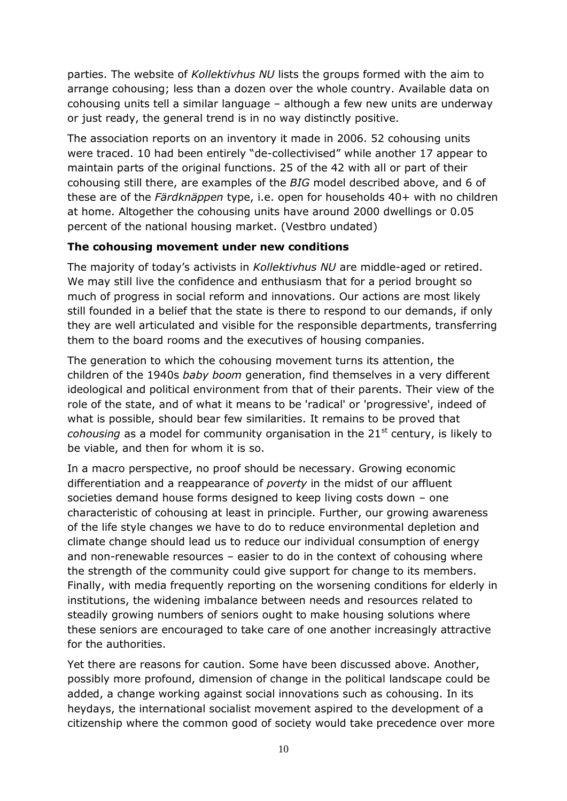parties. The website of *Kollektivhus NU* lists the groups formed with the aim to arrange cohousing; less than a dozen over the whole country. Available data on cohousing units tell a similar language – although a few new units are underway or just ready, the general trend is in no way distinctly positive.

The association reports on an inventory it made in 2006. 52 cohousing units were traced. 10 had been entirely "de-collectivised" while another 17 appear to maintain parts of the original functions. 25 of the 42 with all or part of their cohousing still there, are examples of the *BIG* model described above, and 6 of these are of the *Färdknäppen* type, i.e. open for households 40+ with no children at home. Altogether the cohousing units have around 2000 dwellings or 0.05 percent of the national housing market. (Vestbro undated)

### **The cohousing movement under new conditions**

The majority of today's activists in *Kollektivhus NU* are middle-aged or retired. We may still live the confidence and enthusiasm that for a period brought so much of progress in social reform and innovations. Our actions are most likely still founded in a belief that the state is there to respond to our demands, if only they are well articulated and visible for the responsible departments, transferring them to the board rooms and the executives of housing companies.

The generation to which the cohousing movement turns its attention, the children of the 1940s *baby boom* generation, find themselves in a very different ideological and political environment from that of their parents. Their view of the role of the state, and of what it means to be 'radical' or 'progressive', indeed of what is possible, should bear few similarities. It remains to be proved that *cohousing* as a model for community organisation in the 21<sup>st</sup> century, is likely to be viable, and then for whom it is so.

In a macro perspective, no proof should be necessary. Growing economic differentiation and a reappearance of *poverty* in the midst of our affluent societies demand house forms designed to keep living costs down – one characteristic of cohousing at least in principle. Further, our growing awareness of the life style changes we have to do to reduce environmental depletion and climate change should lead us to reduce our individual consumption of energy and non-renewable resources – easier to do in the context of cohousing where the strength of the community could give support for change to its members. Finally, with media frequently reporting on the worsening conditions for elderly in institutions, the widening imbalance between needs and resources related to steadily growing numbers of seniors ought to make housing solutions where these seniors are encouraged to take care of one another increasingly attractive for the authorities.

Yet there are reasons for caution. Some have been discussed above. Another, possibly more profound, dimension of change in the political landscape could be added, a change working against social innovations such as cohousing. In its heydays, the international socialist movement aspired to the development of a citizenship where the common good of society would take precedence over more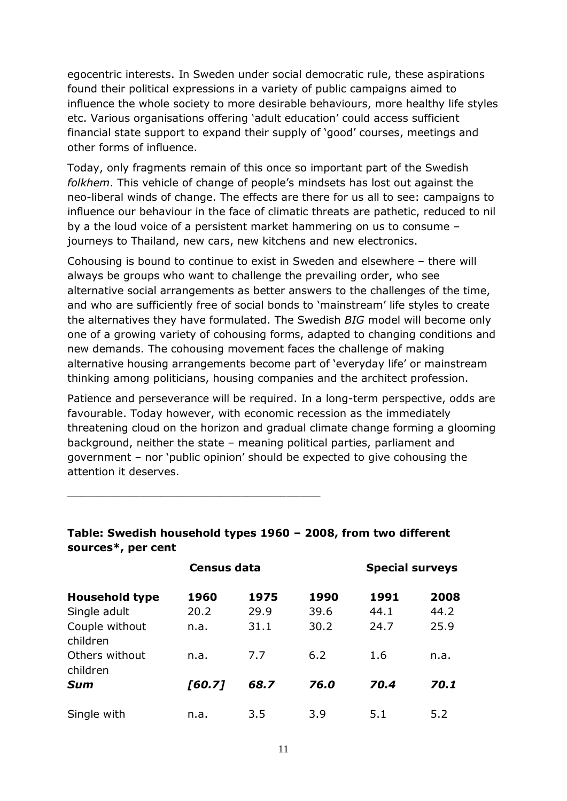egocentric interests. In Sweden under social democratic rule, these aspirations found their political expressions in a variety of public campaigns aimed to influence the whole society to more desirable behaviours, more healthy life styles etc. Various organisations offering 'adult education' could access sufficient financial state support to expand their supply of 'good' courses, meetings and other forms of influence.

Today, only fragments remain of this once so important part of the Swedish *folkhem*. This vehicle of change of people's mindsets has lost out against the neo-liberal winds of change. The effects are there for us all to see: campaigns to influence our behaviour in the face of climatic threats are pathetic, reduced to nil by a the loud voice of a persistent market hammering on us to consume – journeys to Thailand, new cars, new kitchens and new electronics.

Cohousing is bound to continue to exist in Sweden and elsewhere – there will always be groups who want to challenge the prevailing order, who see alternative social arrangements as better answers to the challenges of the time, and who are sufficiently free of social bonds to 'mainstream' life styles to create the alternatives they have formulated. The Swedish *BIG* model will become only one of a growing variety of cohousing forms, adapted to changing conditions and new demands. The cohousing movement faces the challenge of making alternative housing arrangements become part of 'everyday life' or mainstream thinking among politicians, housing companies and the architect profession.

Patience and perseverance will be required. In a long-term perspective, odds are favourable. Today however, with economic recession as the immediately threatening cloud on the horizon and gradual climate change forming a glooming background, neither the state – meaning political parties, parliament and government – nor 'public opinion' should be expected to give cohousing the attention it deserves.

|                            | <b>Census data</b> |      | <b>Special surveys</b> |      |      |
|----------------------------|--------------------|------|------------------------|------|------|
| <b>Household type</b>      | 1960               | 1975 | 1990                   | 1991 | 2008 |
| Single adult               | 20.2               | 29.9 | 39.6                   | 44.1 | 44.2 |
| Couple without<br>children | n.a.               | 31.1 | 30.2                   | 24.7 | 25.9 |
| Others without<br>children | n.a.               | 7.7  | 6.2                    | 1.6  | n.a. |
| Sum                        | [60.7]             | 68.7 | 76.0                   | 70.4 | 70.1 |
| Single with                | n.a.               | 3.5  | 3.9                    | 5.1  | 5.2  |

# **Table: Swedish household types 1960 – 2008, from two different sources\*, per cent**

\_\_\_\_\_\_\_\_\_\_\_\_\_\_\_\_\_\_\_\_\_\_\_\_\_\_\_\_\_\_\_\_\_\_\_\_\_\_